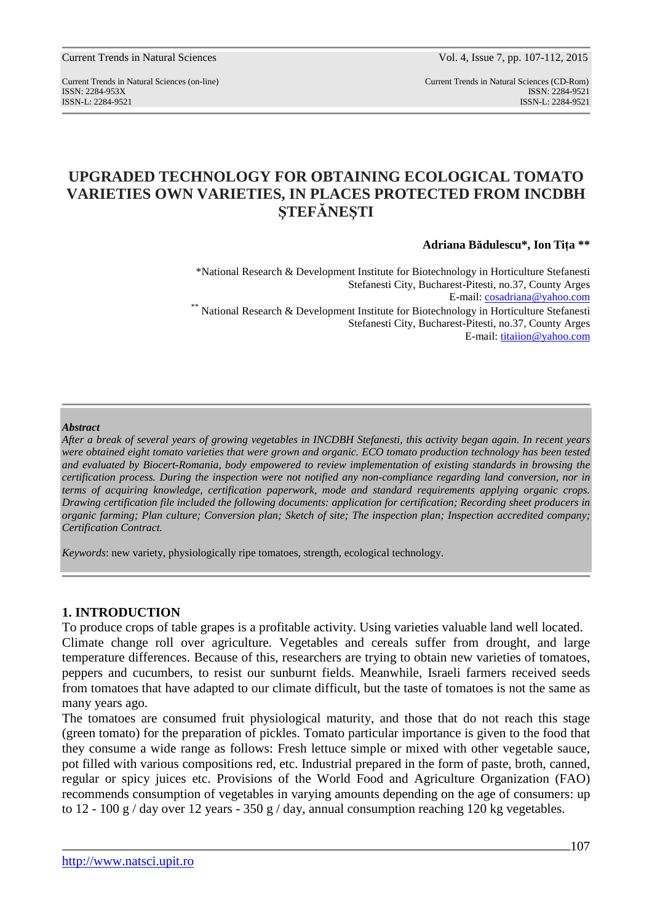ISSN: 2284-953XISSN: 2284-9521

Current Trends in Natural Sciences Vol. 4, Issue 7, pp. 107-112, 2015

Current Trends in Natural Sciences (on-line) Current Trends in Natural Sciences (CD-Rom) ISSN-L: 2284-9521 ISSN-L: 2284-9521

# **UPGRADED TECHNOLOGY FOR OBTAINING ECOLOGICAL TOMATO VARIETIES OWN VARIETIES, IN PLACES PROTECTED FROM INCDBH ŞTEFĂNEŞTI**

**Adriana Bădulescu\*, Ion Tiţa \*\*** 

\*National Research & Development Institute for Biotechnology in Horticulture Stefanesti Stefanesti City, Bucharest-Pitesti, no.37, County Arges E-mail: cosadriana@yahoo.com \* National Research & Development Institute for Biotechnology in Horticulture Stefanesti Stefanesti City, Bucharest-Pitesti, no.37, County Arges E-mail: titaiion@yahoo.com

#### *Abstract*

*After a break of several years of growing vegetables in INCDBH Stefanesti, this activity began again. In recent years were obtained eight tomato varieties that were grown and organic. ECO tomato production technology has been tested and evaluated by Biocert-Romania, body empowered to review implementation of existing standards in browsing the certification process. During the inspection were not notified any non-compliance regarding land conversion, nor in terms of acquiring knowledge, certification paperwork, mode and standard requirements applying organic crops. Drawing certification file included the following documents: application for certification; Recording sheet producers in organic farming; Plan culture; Conversion plan; Sketch of site; The inspection plan; Inspection accredited company; Certification Contract.* 

*Keywords*: new variety, physiologically ripe tomatoes, strength, ecological technology.

### **1. INTRODUCTION**

To produce crops of table grapes is a profitable activity. Using varieties valuable land well located. Climate change roll over agriculture. Vegetables and cereals suffer from drought, and large temperature differences. Because of this, researchers are trying to obtain new varieties of tomatoes, peppers and cucumbers, to resist our sunburnt fields. Meanwhile, Israeli farmers received seeds from tomatoes that have adapted to our climate difficult, but the taste of tomatoes is not the same as many years ago.

The tomatoes are consumed fruit physiological maturity, and those that do not reach this stage (green tomato) for the preparation of pickles. Tomato particular importance is given to the food that they consume a wide range as follows: Fresh lettuce simple or mixed with other vegetable sauce, pot filled with various compositions red, etc. Industrial prepared in the form of paste, broth, canned, regular or spicy juices etc. Provisions of the World Food and Agriculture Organization (FAO) recommends consumption of vegetables in varying amounts depending on the age of consumers: up to 12 - 100 g / day over 12 years - 350 g / day, annual consumption reaching 120 kg vegetables.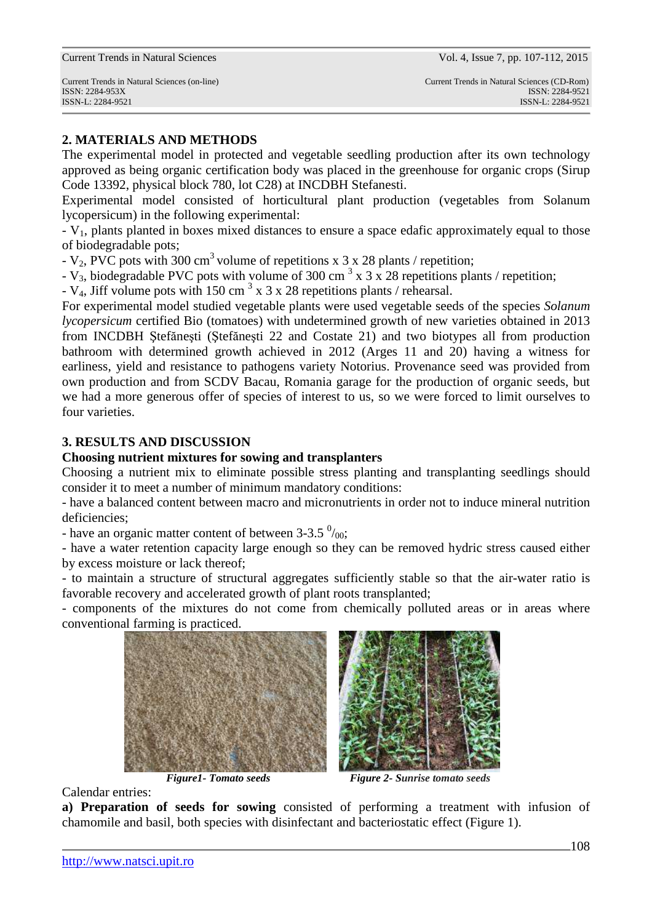### **2. MATERIALS AND METHODS**

The experimental model in protected and vegetable seedling production after its own technology approved as being organic certification body was placed in the greenhouse for organic crops (Sirup Code 13392, physical block 780, lot C28) at INCDBH Stefanesti.

Experimental model consisted of horticultural plant production (vegetables from Solanum lycopersicum) in the following experimental:

- V1, plants planted in boxes mixed distances to ensure a space edafic approximately equal to those of biodegradable pots;

-  $V_2$ , PVC pots with 300 cm<sup>3</sup> volume of repetitions x 3 x 28 plants / repetition;

-  $V_3$ , biodegradable PVC pots with volume of 300 cm<sup>3</sup> x 3 x 28 repetitions plants / repetition;

-  $V_4$ , Jiff volume pots with 150 cm<sup>3</sup> x 3 x 28 repetitions plants / rehearsal.

For experimental model studied vegetable plants were used vegetable seeds of the species *Solanum lycopersicum* certified Bio (tomatoes) with undetermined growth of new varieties obtained in 2013 from INCDBH Ştefăneşti (Ştefăneşti 22 and Costate 21) and two biotypes all from production bathroom with determined growth achieved in 2012 (Arges 11 and 20) having a witness for earliness, yield and resistance to pathogens variety Notorius. Provenance seed was provided from own production and from SCDV Bacau, Romania garage for the production of organic seeds, but we had a more generous offer of species of interest to us, so we were forced to limit ourselves to four varieties.

## **3. RESULTS AND DISCUSSION**

### **Choosing nutrient mixtures for sowing and transplanters**

Choosing a nutrient mix to eliminate possible stress planting and transplanting seedlings should consider it to meet a number of minimum mandatory conditions:

- have a balanced content between macro and micronutrients in order not to induce mineral nutrition deficiencies;

- have an organic matter content of between 3-3.5  $\frac{0}{00}$ ;

- have a water retention capacity large enough so they can be removed hydric stress caused either by excess moisture or lack thereof;

- to maintain a structure of structural aggregates sufficiently stable so that the air-water ratio is favorable recovery and accelerated growth of plant roots transplanted;

- components of the mixtures do not come from chemically polluted areas or in areas where conventional farming is practiced.





 *Figure1- Tomato seeds Figure 2- Sunrise tomato seeds*

Calendar entries:

**a) Preparation of seeds for sowing** consisted of performing a treatment with infusion of chamomile and basil, both species with disinfectant and bacteriostatic effect (Figure 1).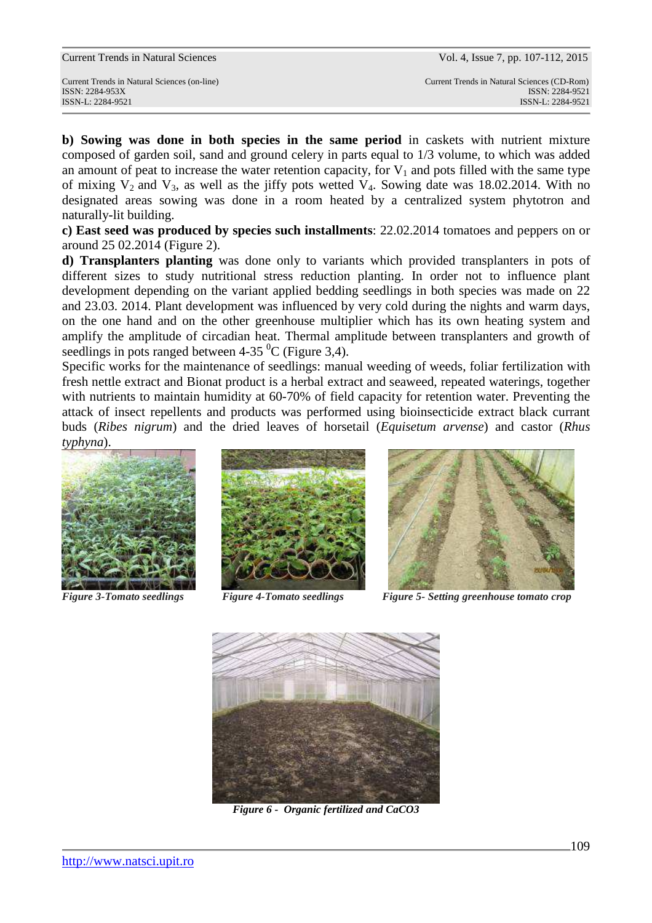**b) Sowing was done in both species in the same period** in caskets with nutrient mixture composed of garden soil, sand and ground celery in parts equal to 1/3 volume, to which was added an amount of peat to increase the water retention capacity, for  $V_1$  and pots filled with the same type of mixing  $V_2$  and  $V_3$ , as well as the jiffy pots wetted  $V_4$ . Sowing date was 18.02.2014. With no designated areas sowing was done in a room heated by a centralized system phytotron and naturally-lit building.

**c) East seed was produced by species such installments**: 22.02.2014 tomatoes and peppers on or around 25 02.2014 (Figure 2).

**d) Transplanters planting** was done only to variants which provided transplanters in pots of different sizes to study nutritional stress reduction planting. In order not to influence plant development depending on the variant applied bedding seedlings in both species was made on 22 and 23.03. 2014. Plant development was influenced by very cold during the nights and warm days, on the one hand and on the other greenhouse multiplier which has its own heating system and amplify the amplitude of circadian heat. Thermal amplitude between transplanters and growth of seedlings in pots ranged between  $4-35\,^0C$  (Figure 3,4).

Specific works for the maintenance of seedlings: manual weeding of weeds, foliar fertilization with fresh nettle extract and Bionat product is a herbal extract and seaweed, repeated waterings, together with nutrients to maintain humidity at 60-70% of field capacity for retention water. Preventing the attack of insect repellents and products was performed using bioinsecticide extract black currant buds (*Ribes nigrum*) and the dried leaves of horsetail (*Equisetum arvense*) and castor (*Rhus typhyna*).







*Figure 3-Tomato seedlings Figure 4-Tomato seedlings Figure 5- Setting greenhouse tomato crop*



*Figure 6 - Organic fertilized and CaCO3*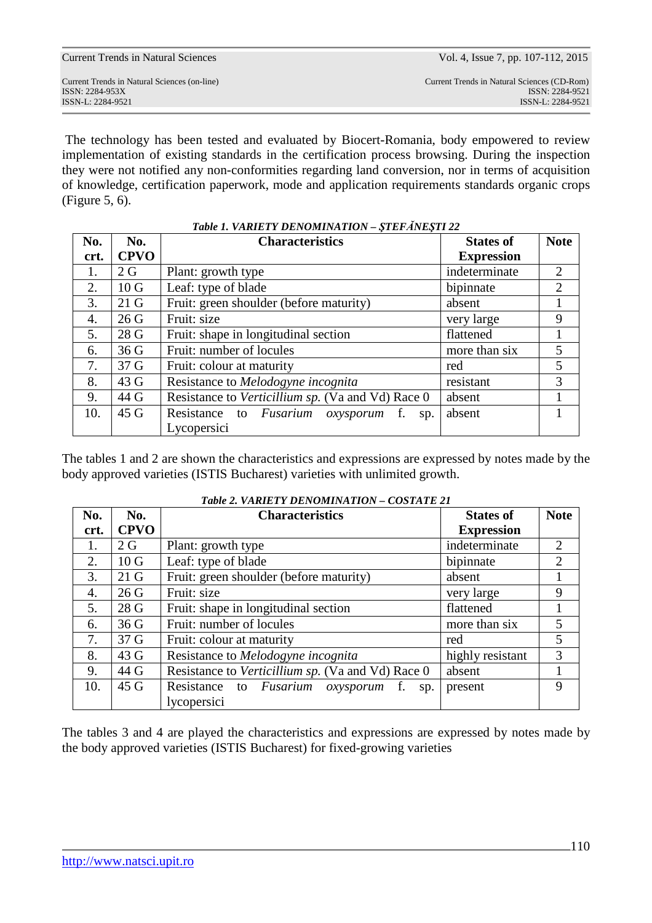ISSN: 2284-953XISSN: 2284-9521

Current Trends in Natural Sciences (on-line) Current Trends in Natural Sciences (CD-Rom) ISSN-L: 2284-9521 ISSN-L: 2284-9521

The technology has been tested and evaluated by Biocert-Romania, body empowered to review implementation of existing standards in the certification process browsing. During the inspection they were not notified any non-conformities regarding land conversion, nor in terms of acquisition of knowledge, certification paperwork, mode and application requirements standards organic crops (Figure 5, 6).

| No.  | No.             | <b>Characteristics</b>                            | <b>States of</b>  | <b>Note</b>    |
|------|-----------------|---------------------------------------------------|-------------------|----------------|
| crt. | <b>CPVO</b>     |                                                   | <b>Expression</b> |                |
| 1.   | 2 <sub>G</sub>  | Plant: growth type                                | indeterminate     | $\overline{2}$ |
| 2.   | 10 <sub>G</sub> | Leaf: type of blade                               | bipinnate         | $\overline{2}$ |
| 3.   | 21 <sub>G</sub> | Fruit: green shoulder (before maturity)           | absent            |                |
| 4.   | 26G             | Fruit: size                                       | very large        | 9              |
| 5.   | 28 G            | Fruit: shape in longitudinal section              | flattened         |                |
| 6.   | 36 <sub>G</sub> | Fruit: number of locules                          | more than six     | 5              |
| 7.   | 37 G            | Fruit: colour at maturity                         | red               | 5              |
| 8.   | 43 G            | Resistance to Melodogyne incognita                | resistant         | 3              |
| 9.   | 44 G            | Resistance to Verticillium sp. (Va and Vd) Race 0 | absent            |                |
| 10.  | 45 <sub>G</sub> | Resistance to Fusarium oxysporum<br>f.<br>sp.     | absent            |                |
|      |                 | Lycopersici                                       |                   |                |

*Table 1. VARIETY DENOMINATION – ŞTEFĂNEŞTI 22* 

The tables 1 and 2 are shown the characteristics and expressions are expressed by notes made by the body approved varieties (ISTIS Bucharest) varieties with unlimited growth.

| No.  | No.             | <b>Characteristics</b>                            | <b>States of</b>  | <b>Note</b>    |
|------|-----------------|---------------------------------------------------|-------------------|----------------|
| crt. | <b>CPVO</b>     |                                                   | <b>Expression</b> |                |
| 1.   | 2 <sub>G</sub>  | Plant: growth type                                | indeterminate     | $\overline{2}$ |
| 2.   | 10 <sub>G</sub> | Leaf: type of blade                               | bipinnate         | 2              |
| 3.   | 21 <sub>G</sub> | Fruit: green shoulder (before maturity)           | absent            |                |
| 4.   | 26 <sub>G</sub> | Fruit: size                                       | very large        | 9              |
| 5.   | 28 G            | Fruit: shape in longitudinal section              | flattened         |                |
| 6.   | 36 G            | Fruit: number of locules                          | more than six     | 5              |
| 7.   | 37 G            | Fruit: colour at maturity<br>red                  |                   | 5              |
| 8.   | 43 G            | Resistance to Melodogyne incognita                | highly resistant  | 3              |
| 9.   | 44 G            | Resistance to Verticillium sp. (Va and Vd) Race 0 | absent            |                |
| 10.  | 45 G            | Resistance to Fusarium oxysporum<br>f.<br>sp.     | present           | 9              |
|      |                 | lycopersici                                       |                   |                |

### *Table 2. VARIETY DENOMINATION – COSTATE 21*

The tables 3 and 4 are played the characteristics and expressions are expressed by notes made by the body approved varieties (ISTIS Bucharest) for fixed-growing varieties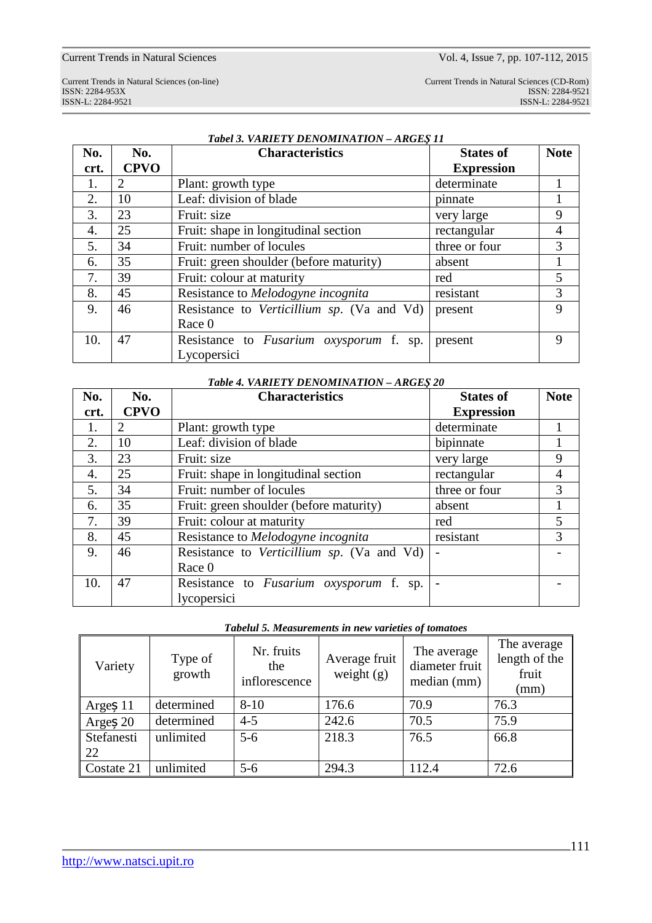Current Trends in Natural Sciences Vol. 4, Issue 7, pp. 107-112, 2015

Current Trends in Natural Sciences (on-line) Current Trends in Natural Sciences (CD-Rom) ISSN: 2284-953XISSN: 2284-9521 ISSN-L: 2284-9521 ISSN-L: 2284-9521

| No.  | No.         | <b>Characteristics</b><br><b>States of</b>          |                   |             |  |  |  |
|------|-------------|-----------------------------------------------------|-------------------|-------------|--|--|--|
| crt. | <b>CPVO</b> |                                                     | <b>Expression</b> |             |  |  |  |
| 1.   | 2           | Plant: growth type                                  | determinate       |             |  |  |  |
| 2.   | 10          | Leaf: division of blade<br>pinnate                  |                   |             |  |  |  |
| 3.   | 23          | very large<br>Fruit: size                           |                   |             |  |  |  |
| 4.   | 25          | Fruit: shape in longitudinal section<br>rectangular |                   |             |  |  |  |
| 5.   | 34          | Fruit: number of locules<br>three or four           |                   |             |  |  |  |
| 6.   | 35          | Fruit: green shoulder (before maturity)             | absent            |             |  |  |  |
| 7.   | 39          | Fruit: colour at maturity                           | red               | 5           |  |  |  |
| 8.   | 45          | Resistance to Melodogyne incognita                  | resistant         | 3           |  |  |  |
| 9.   | 46          | Resistance to Verticillium sp. (Va and Vd)          | present           | $\mathbf Q$ |  |  |  |
|      |             | Race 0                                              |                   |             |  |  |  |
| 10.  | 47          | Resistance to Fusarium oxysporum f. sp.             | present           | 9           |  |  |  |
|      |             | Lycopersici                                         |                   |             |  |  |  |

### *Tabel 3. VARIETY DENOMINATION – ARGEŞ 11*

### *Table 4. VARIETY DENOMINATION – ARGEŞ 20*

| No.  | No.         | <b>Characteristics</b>                              | <b>States of</b>  | <b>Note</b> |  |  |
|------|-------------|-----------------------------------------------------|-------------------|-------------|--|--|
| crt. | <b>CPVO</b> |                                                     | <b>Expression</b> |             |  |  |
| 1.   | 2           | Plant: growth type                                  | determinate       |             |  |  |
| 2.   | 10          | Leaf: division of blade<br>bipinnate                |                   |             |  |  |
| 3.   | 23          | Fruit: size                                         | very large        | 9           |  |  |
| 4.   | 25          | Fruit: shape in longitudinal section<br>rectangular |                   |             |  |  |
| 5.   | 34          | Fruit: number of locules<br>three or four           |                   |             |  |  |
| 6.   | 35          | Fruit: green shoulder (before maturity)             | absent            |             |  |  |
| 7.   | 39          | Fruit: colour at maturity                           | red               | 5           |  |  |
| 8.   | 45          | Resistance to Melodogyne incognita                  | resistant         | 3           |  |  |
| 9.   | 46          | Resistance to Verticillium sp. (Va and Vd)          |                   |             |  |  |
|      |             | Race 0                                              |                   |             |  |  |
| 10.  | 47          | Resistance to Fusarium oxysporum f. sp.             |                   |             |  |  |
|      |             | lycopersici                                         |                   |             |  |  |

| Tabelul 5. Measurements in new varieties of tomatoes |
|------------------------------------------------------|
|------------------------------------------------------|

| Variety              | Type of<br>growth | Nr. fruits<br>the<br>inflorescence | Average fruit<br>weight $(g)$ | The average<br>diameter fruit<br>median (mm) | The average<br>length of the<br>fruit<br>(mm) |
|----------------------|-------------------|------------------------------------|-------------------------------|----------------------------------------------|-----------------------------------------------|
| Arge <sub>5</sub> 11 | determined        | $8-10$                             | 176.6                         | 70.9                                         | 76.3                                          |
| Arge <sub></sub> 20  | determined        | $4 - 5$                            | 242.6                         | 70.5                                         | 75.9                                          |
| Stefanesti<br>22     | unlimited         | $5 - 6$                            | 218.3                         | 76.5                                         | 66.8                                          |
| Costate 21           | unlimited         | $5-6$                              | 294.3                         | 112.4                                        | 72.6                                          |